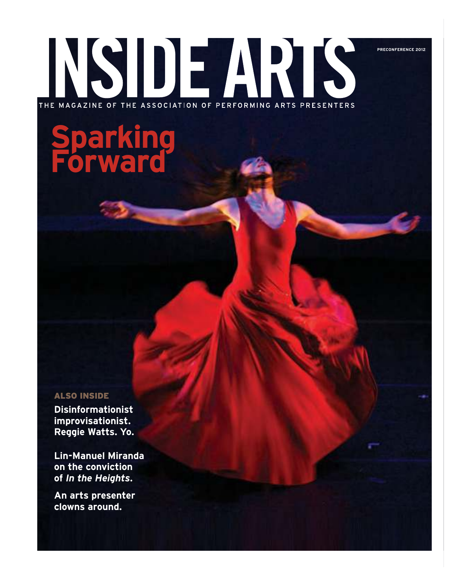#### **PRECONFERENCE 2012**

## NSIDE ARTS THE MAGAZINE OF THE ASSOCIATION OF PERFORMING ARTS PRESENTERS

## **Sparking Forward**

#### ALSO INSIDE

**Disinformationist improvisationist. Reggie Watts. Yo.** 

**Lin-Manuel Miranda on the conviction of** *In the Heights***.** 

**An arts presenter clowns around.**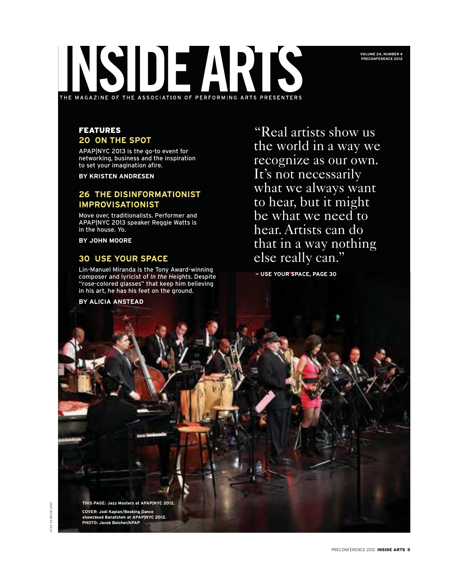

#### FEATURES **20 ON THE SPOT**

APAP|NYC 2013 is the go-to event for networking, business and the inspiration to set your imagination afire.

**BY KRISTEN ANDRESEN** 

#### **26 THE DISINFORMATIONIST IMPROVISATIONIST**

Move over, traditionalists. Performer and APAP|NYC 2013 speaker Reggie Watts is in the house. Yo.

**BY JOHN MOORE**

#### **30 USE YOUR SPACE**

Lin-Manuel Miranda is the Tony Award-winning composer and lyricist of *In the Heights*. Despite "rose-colored glasses" that keep him believing in his art, he has his feet on the ground.

#### **BY ALICIA ANSTEAD**

"Real artists show us the world in a way we recognize as our own. It's not necessarily what we always want to hear, but it might be what we need to hear. Artists can do that in a way nothing else really can."

 **— USE YOUR SPACE, PAGE 30**

**THIS PAGE: Jazz Masters at APAP|NYC 2012.**

**COVER: Jodi Kaplan/Booking Dance showcased Banafsheh at APAP|NYC 2012. PHOTO: Jacob Belcher/APAP**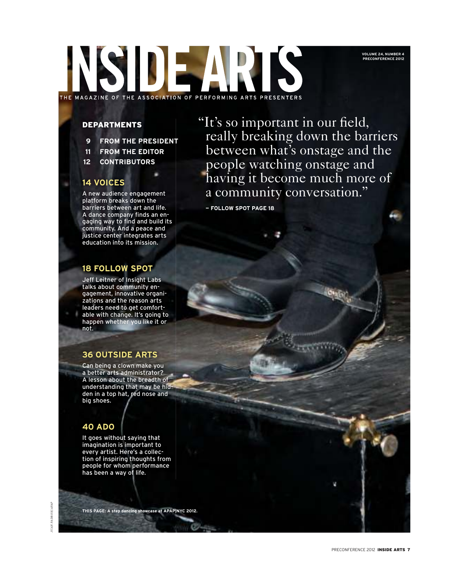**VOLUME 24, NUMBER 4 PRECONFERENCE 2012**

# THE MAGAZINE OF THE ASSOCIATION OF PERFORMING ARTS PRESENTERS

#### DEPARTMENTS

- **9 FROM THE PRESIDENT**
- **11 FROM THE EDITOR**
- **12 CONTRIBUTORS**

#### **14 VOICES**

A new audience engagement platform breaks down the barriers between art and life. A dance company finds an engaging way to find and build its community. And a peace and justice center integrates arts education into its mission.

#### **18 FOLLOW SPOT**

Jeff Leitner of Insight Labs talks about community engagement, innovative organizations and the reason arts leaders need to get comfortable with change. It's going to happen whether you like it or not.

#### **36 OUTSIDE ARTS**

Can being a clown make you a better arts administrator? A lesson about the breadth of understanding that may be hidden in a top hat, red nose and big shoes.

#### **40 ADO**

It goes without saying that imagination is important to every artist. Here's a collection of inspiring thoughts from people for whom performance has been a way of life.

**THIS PAGE: A step dancing showcase at APAP|NYC 2012.**

"It's so important in our field, really breaking down the barriers between what's onstage and the people watching onstage and having it become much more of a community conversation."

**— FOLLOW SPOT PAGE 18**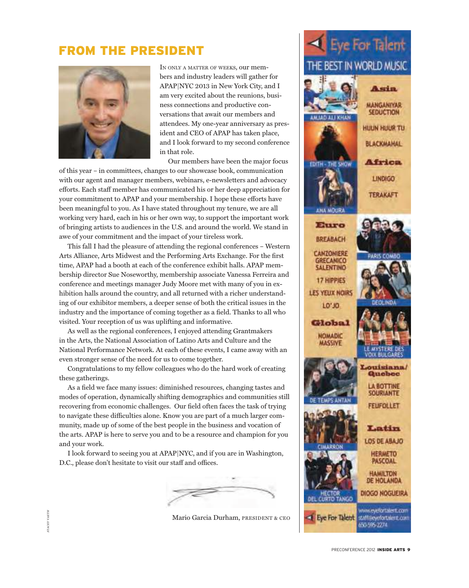#### FROM THE PRESIDENT



I<sup>N</sup> ONLY <sup>A</sup> MATTER OF WEEKS, our members and industry leaders will gather for APAP|NYC 2013 in New York City, and I am very excited about the reunions, business connections and productive conversations that await our members and attendees. My one-year anniversary as president and CEO of APAP has taken place, and I look forward to my second conference in that role.

Our members have been the major focus

of this year – in committees, changes to our showcase book, communication with our agent and manager members, webinars, e-newsletters and advocacy efforts. Each staff member has communicated his or her deep appreciation for your commitment to APAP and your membership. I hope these efforts have been meaningful to you. As I have stated throughout my tenure, we are all working very hard, each in his or her own way, to support the important work of bringing artists to audiences in the U.S. and around the world. We stand in awe of your commitment and the impact of your tireless work.

This fall I had the pleasure of attending the regional conferences – Western Arts Alliance, Arts Midwest and the Performing Arts Exchange. For the first time, APAP had a booth at each of the conference exhibit halls. APAP membership director Sue Noseworthy, membership associate Vanessa Ferreira and conference and meetings manager Judy Moore met with many of you in exhibition halls around the country, and all returned with a richer understanding of our exhibitor members, a deeper sense of both the critical issues in the industry and the importance of coming together as a field. Thanks to all who visited. Your reception of us was uplifting and informative.

As well as the regional conferences, I enjoyed attending Grantmakers in the Arts, the National Association of Latino Arts and Culture and the National Performance Network. At each of these events, I came away with an even stronger sense of the need for us to come together.

Congratulations to my fellow colleagues who do the hard work of creating these gatherings.

As a field we face many issues: diminished resources, changing tastes and modes of operation, dynamically shifting demographics and communities still recovering from economic challenges. Our field often faces the task of trying to navigate these difficulties alone. Know you are part of a much larger community, made up of some of the best people in the business and vocation of the arts. APAP is here to serve you and to be a resource and champion for you and your work.

I look forward to seeing you at APAP|NYC, and if you are in Washington, D.C., please don't hesitate to visit our staff and offices.



Mario Garcia Durham, PrESIDENT & CEO

### **Eye For Talent** THE BEST IN WORLD MUSIC

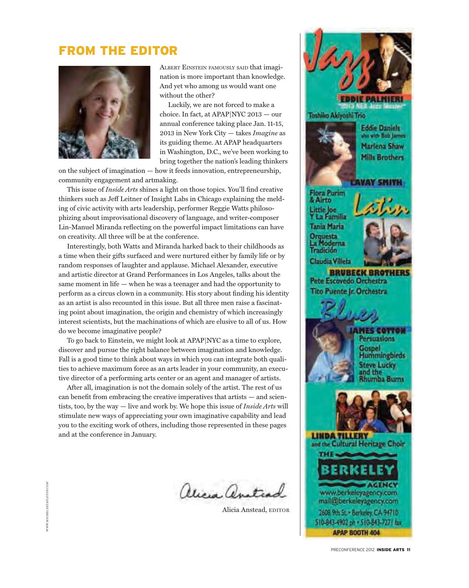#### **FROM THE EDITOR**



ALBERT EINSTEIN FAMOUSLY SAID that imagination is more important than knowledge. And yet who among us would want one without the other?

Luckily, we are not forced to make a choice. In fact, at APAP|NYC 2013 — our annual conference taking place Jan. 11-15, 2013 in New York City — takes *Imagine* as its guiding theme. At APAP headquarters in Washington, D.C., we've been working to bring together the nation's leading thinkers

on the subject of imagination — how it feeds innovation, entrepreneurship, community engagement and artmaking.

This issue of *Inside Arts* shines a light on those topics. You'll find creative thinkers such as Jeff Leitner of Insight Labs in Chicago explaining the melding of civic activity with arts leadership, performer Reggie Watts philosophizing about improvisational discovery of language, and writer-composer Lin-Manuel Miranda reflecting on the powerful impact limitations can have on creativity. All three will be at the conference.

Interestingly, both Watts and Miranda harked back to their childhoods as a time when their gifts surfaced and were nurtured either by family life or by random responses of laughter and applause. Michael Alexander, executive and artistic director at Grand Performances in Los Angeles, talks about the same moment in life — when he was a teenager and had the opportunity to perform as a circus clown in a community. His story about finding his identity as an artist is also recounted in this issue. But all three men raise a fascinating point about imagination, the origin and chemistry of which increasingly interest scientists, but the machinations of which are elusive to all of us. How do we become imaginative people?

To go back to Einstein, we might look at APAP|NYC as a time to explore, discover and pursue the right balance between imagination and knowledge. Fall is a good time to think about ways in which you can integrate both qualities to achieve maximum force as an arts leader in your community, an executive director of a performing arts center or an agent and manager of artists.

After all, imagination is not the domain solely of the artist. The rest of us can benefit from embracing the creative imperatives that artists — and scientists, too, by the way — live and work by. We hope this issue of *Inside Arts* will stimulate new ways of appreciating your own imaginative capability and lead you to the exciting work of others, including those represented in these pages and at the conference in January.

alicia anatica

Alicia Anstead, EDIToR



VWW.MICHELESTAPLETON.COM *WWW.MICHELESTAPLETON.COM*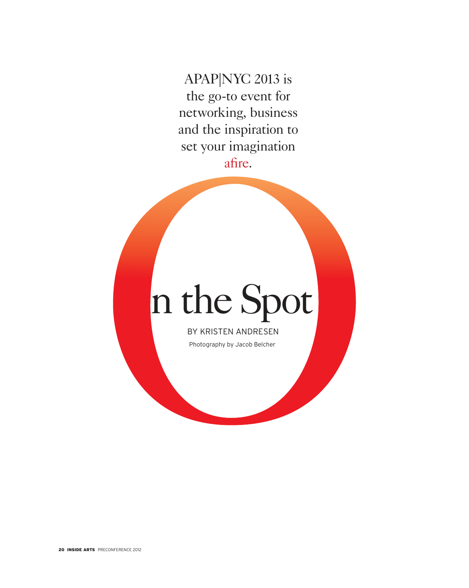APAP|NYC 2013 is the go-to event for networking, business and the inspiration to set your imagination afire.

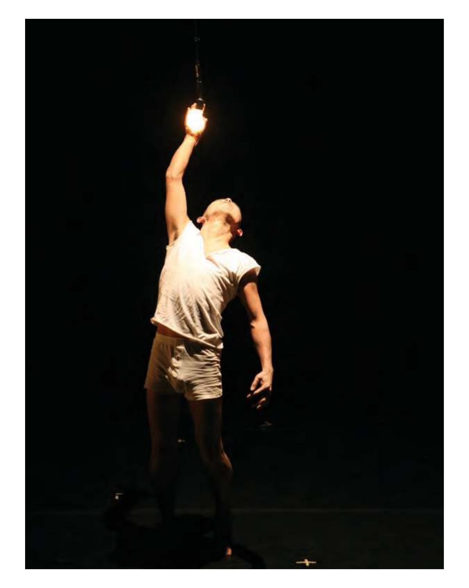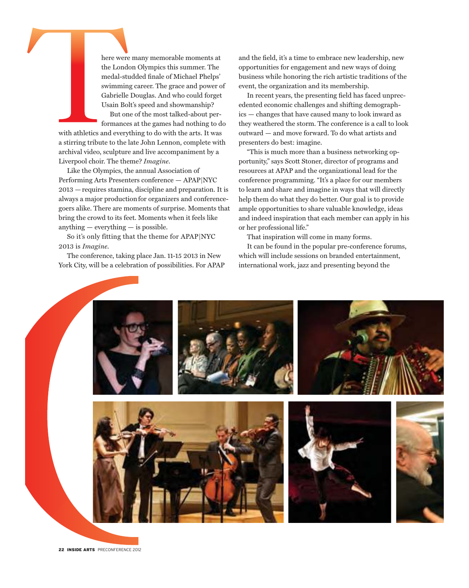here were many memorable moments at the London Olympics this summer. The medal-studded finale of Michael Phelps' swimming career. The grace and power of Gabrielle Douglas. And who could forget Usain Bolt's speed and showmanship? But one of the most talked-about performances at the games had nothing to do with athletics and everything to do with the arts. It was a stirring tribute to the late John Lennon, complete with archival video, sculpture and live accompaniment by a Liverpool choir. The theme? *Imagine*.

Like the Olympics, the annual Association of Performing Arts Presenters conference — APAP|NYC 2013 — requires stamina, discipline and preparation. It is always a major production for organizers and conferencegoers alike. There are moments of surprise. Moments that bring the crowd to its feet. Moments when it feels like anything — everything — is possible.

So it's only fitting that the theme for APAP|NYC 2013 is *Imagine*.

The conference, taking place Jan. 11-15 2013 in New York City, will be a celebration of possibilities. For APAP and the field, it's a time to embrace new leadership, new opportunities for engagement and new ways of doing business while honoring the rich artistic traditions of the event, the organization and its membership.

In recent years, the presenting field has faced unprecedented economic challenges and shifting demographics — changes that have caused many to look inward as they weathered the storm. The conference is a call to look outward — and move forward. To do what artists and presenters do best: imagine.

"This is much more than a business networking opportunity," says Scott Stoner, director of programs and resources at APAP and the organizational lead for the conference programming. "It's a place for our members to learn and share and imagine in ways that will directly help them do what they do better. Our goal is to provide ample opportunities to share valuable knowledge, ideas and indeed inspiration that each member can apply in his or her professional life."

That inspiration will come in many forms.

It can be found in the popular pre-conference forums, which will include sessions on branded entertainment, international work, jazz and presenting beyond the

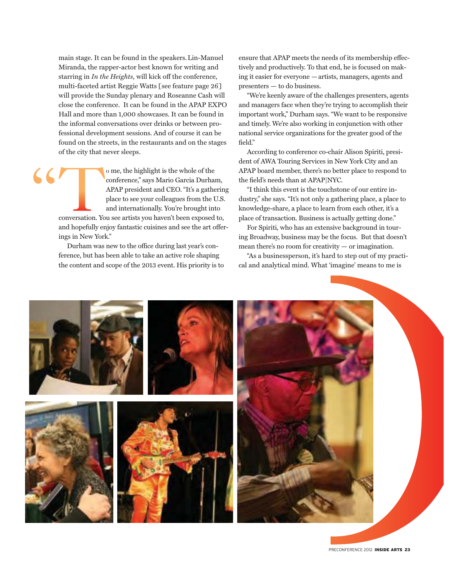main stage. It can be found in the speakers. Lin-Manuel Miranda, the rapper-actor best known for writing and starring in *In the Heights*, will kick off the conference, multi-faceted artist Reggie Watts [see feature page 26] will provide the Sunday plenary and Roseanne Cash will close the conference. It can be found in the APAP EXPO Hall and more than 1,000 showcases. It can be found in the informal conversations over drinks or between professional development sessions. And of course it can be found on the streets, in the restaurants and on the stages of the city that never sleeps.

o me, the highlight is the whole of the conference," says Mario Garcia Durham, APAP president and CEO. "It's a gathering place to see your colleagues from the U.S. and internationally. You're brought into conversation. You see artists you haven't been exposed to, and hopefully enjoy fantastic cuisines and see the art offerings in New York."

Durham was new to the office during last year's conference, but has been able to take an active role shaping the content and scope of the 2013 event. His priority is to ensure that APAP meets the needs of its membership effectively and productively. To that end, he is focused on making it easier for everyone — artists, managers, agents and presenters — to do business.

"We're keenly aware of the challenges presenters, agents and managers face when they're trying to accomplish their important work," Durham says. "We want to be responsive and timely. We're also working in conjunction with other national service organizations for the greater good of the field."

According to conference co-chair Alison Spiriti, president of AWA Touring Services in New York City and an APAP board member, there's no better place to respond to the field's needs than at APAP|NYC.

"I think this event is the touchstone of our entire industry," she says. "It's not only a gathering place, a place to knowledge-share, a place to learn from each other, it's a place of transaction. Business is actually getting done."

For Spiriti, who has an extensive background in touring Broadway, business may be the focus. But that doesn't mean there's no room for creativity — or imagination.

"As a businessperson, it's hard to step out of my practical and analytical mind. What 'imagine' means to me is